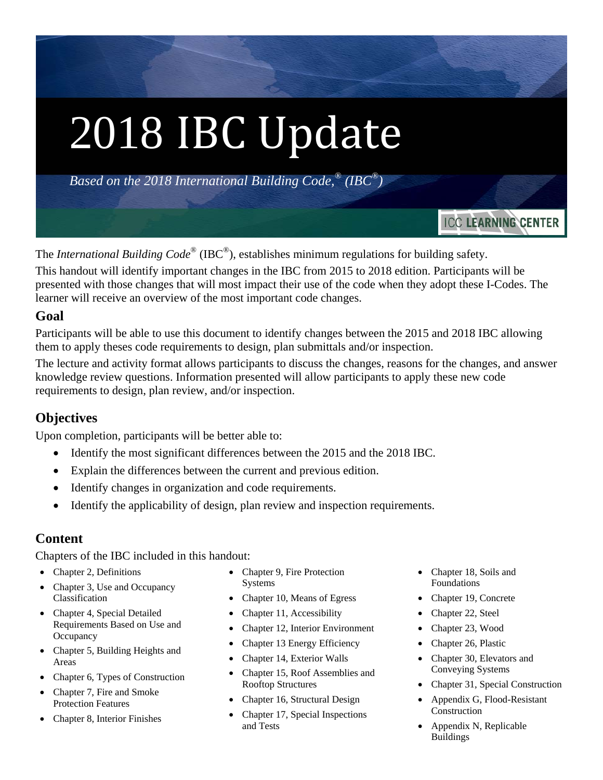*Based on the 2018 International Building Code,® (IBC®)* 

 $\overline{a}$ The *International Building Code*® (IBC®), establishes minimum regulations for building safety.

This handout will identify important changes in the IBC from 2015 to 2018 edition. Participants will be presented with those changes that will most impact their use of the code when they adopt these I-Codes. The learner will receive an overview of the most important code changes.

### **Goal**

Participants will be able to use this document to identify changes between the 2015 and 2018 IBC allowing them to apply theses code requirements to design, plan submittals and/or inspection.

The lecture and activity format allows participants to discuss the changes, reasons for the changes, and answer knowledge review questions. Information presented will allow participants to apply these new code requirements to design, plan review, and/or inspection.

## **Objectives**

Upon completion, participants will be better able to:

- Identify the most significant differences between the 2015 and the 2018 IBC.
- Explain the differences between the current and previous edition.
- Identify changes in organization and code requirements.
- Identify the applicability of design, plan review and inspection requirements.

## **Content**

Chapters of the IBC included in this handout:

- Chapter 2, Definitions
- Chapter 3, Use and Occupancy Classification
- Chapter 4, Special Detailed Requirements Based on Use and **Occupancy**
- Chapter 5, Building Heights and Areas
- Chapter 6, Types of Construction
- Chapter 7, Fire and Smoke Protection Features
- Chapter 8, Interior Finishes
- Chapter 9, Fire Protection Systems
- Chapter 10, Means of Egress
- Chapter 11, Accessibility
- Chapter 12, Interior Environment
- Chapter 13 Energy Efficiency
- Chapter 14, Exterior Walls
- Chapter 15, Roof Assemblies and Rooftop Structures
- Chapter 16, Structural Design
- Chapter 17, Special Inspections and Tests
- Chapter 18, Soils and Foundations
- Chapter 19, Concrete
- Chapter 22, Steel
- Chapter 23, Wood
- Chapter 26, Plastic
- Chapter 30, Elevators and Conveying Systems
- Chapter 31, Special Construction

**ICC LEARNING CENTER** 

- Appendix G, Flood-Resistant Construction
- Appendix N, Replicable Buildings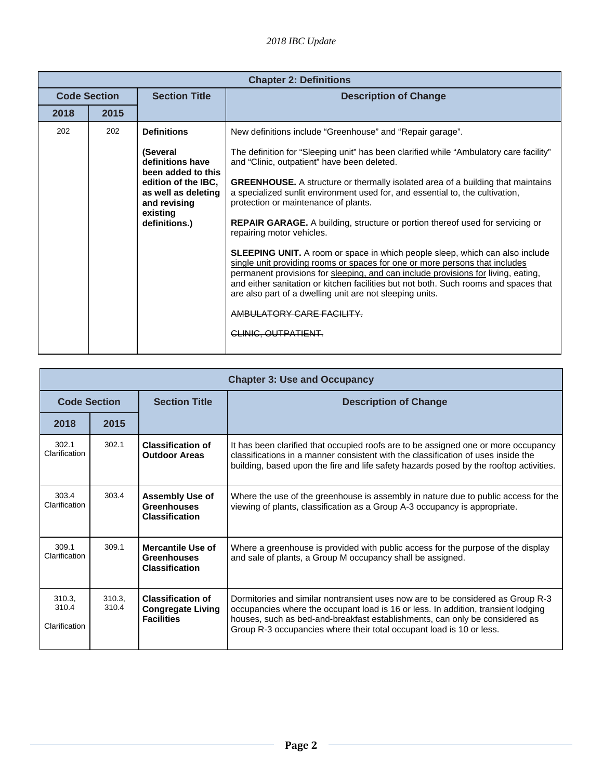|                     | <b>Chapter 2: Definitions</b> |                                                                                                                                                                     |                                                                                                                                                                                                                                                                                                                                                                                                                                                                                                                                                                                                                                                                                                                                                                                                                                                                                                                                                                                                                         |  |
|---------------------|-------------------------------|---------------------------------------------------------------------------------------------------------------------------------------------------------------------|-------------------------------------------------------------------------------------------------------------------------------------------------------------------------------------------------------------------------------------------------------------------------------------------------------------------------------------------------------------------------------------------------------------------------------------------------------------------------------------------------------------------------------------------------------------------------------------------------------------------------------------------------------------------------------------------------------------------------------------------------------------------------------------------------------------------------------------------------------------------------------------------------------------------------------------------------------------------------------------------------------------------------|--|
| <b>Code Section</b> |                               | <b>Section Title</b>                                                                                                                                                | <b>Description of Change</b>                                                                                                                                                                                                                                                                                                                                                                                                                                                                                                                                                                                                                                                                                                                                                                                                                                                                                                                                                                                            |  |
| 2018                | 2015                          |                                                                                                                                                                     |                                                                                                                                                                                                                                                                                                                                                                                                                                                                                                                                                                                                                                                                                                                                                                                                                                                                                                                                                                                                                         |  |
| 202                 | 202                           | <b>Definitions</b><br>(Several<br>definitions have<br>been added to this<br>edition of the IBC.<br>as well as deleting<br>and revising<br>existing<br>definitions.) | New definitions include "Greenhouse" and "Repair garage".<br>The definition for "Sleeping unit" has been clarified while "Ambulatory care facility"<br>and "Clinic, outpatient" have been deleted.<br><b>GREENHOUSE.</b> A structure or thermally isolated area of a building that maintains<br>a specialized sunlit environment used for, and essential to, the cultivation,<br>protection or maintenance of plants.<br><b>REPAIR GARAGE.</b> A building, structure or portion thereof used for servicing or<br>repairing motor vehicles.<br><b>SLEEPING UNIT.</b> A room or space in which people sleep, which can also include<br>single unit providing rooms or spaces for one or more persons that includes<br>permanent provisions for sleeping, and can include provisions for living, eating,<br>and either sanitation or kitchen facilities but not both. Such rooms and spaces that<br>are also part of a dwelling unit are not sleeping units.<br>AMBULATORY CARE FACILITY.<br><del>CLINIC. OUTPATIENT</del> |  |
|                     |                               |                                                                                                                                                                     |                                                                                                                                                                                                                                                                                                                                                                                                                                                                                                                                                                                                                                                                                                                                                                                                                                                                                                                                                                                                                         |  |

|                                  | <b>Chapter 3: Use and Occupancy</b> |                                                                           |                                                                                                                                                                                                                                                                                                                             |  |
|----------------------------------|-------------------------------------|---------------------------------------------------------------------------|-----------------------------------------------------------------------------------------------------------------------------------------------------------------------------------------------------------------------------------------------------------------------------------------------------------------------------|--|
| <b>Code Section</b>              |                                     | <b>Section Title</b>                                                      | <b>Description of Change</b>                                                                                                                                                                                                                                                                                                |  |
| 2018                             | 2015                                |                                                                           |                                                                                                                                                                                                                                                                                                                             |  |
| 302.1<br>Clarification           | 302.1                               | <b>Classification of</b><br><b>Outdoor Areas</b>                          | It has been clarified that occupied roofs are to be assigned one or more occupancy<br>classifications in a manner consistent with the classification of uses inside the<br>building, based upon the fire and life safety hazards posed by the rooftop activities.                                                           |  |
| 303.4<br>Clarification           | 303.4                               | Assembly Use of<br><b>Greenhouses</b><br><b>Classification</b>            | Where the use of the greenhouse is assembly in nature due to public access for the<br>viewing of plants, classification as a Group A-3 occupancy is appropriate.                                                                                                                                                            |  |
| 309.1<br>Clarification           | 309.1                               | Mercantile Use of<br><b>Greenhouses</b><br><b>Classification</b>          | Where a greenhouse is provided with public access for the purpose of the display<br>and sale of plants, a Group M occupancy shall be assigned.                                                                                                                                                                              |  |
| 310.3.<br>310.4<br>Clarification | 310.3.<br>310.4                     | <b>Classification of</b><br><b>Congregate Living</b><br><b>Facilities</b> | Dormitories and similar nontransient uses now are to be considered as Group R-3<br>occupancies where the occupant load is 16 or less. In addition, transient lodging<br>houses, such as bed-and-breakfast establishments, can only be considered as<br>Group R-3 occupancies where their total occupant load is 10 or less. |  |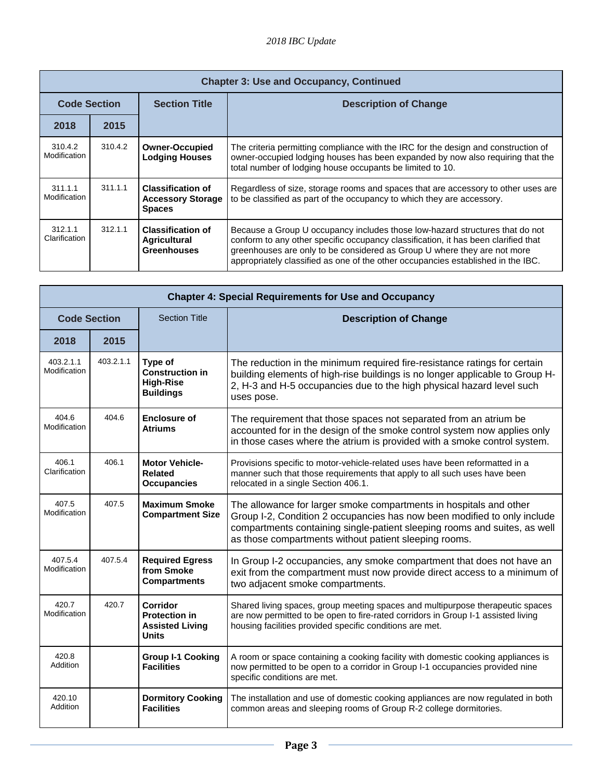|                          | <b>Chapter 3: Use and Occupancy, Continued</b> |                                                                       |                                                                                                                                                                                                                                                                                                                                    |  |  |
|--------------------------|------------------------------------------------|-----------------------------------------------------------------------|------------------------------------------------------------------------------------------------------------------------------------------------------------------------------------------------------------------------------------------------------------------------------------------------------------------------------------|--|--|
| <b>Code Section</b>      |                                                | <b>Section Title</b>                                                  | <b>Description of Change</b>                                                                                                                                                                                                                                                                                                       |  |  |
| 2018                     | 2015                                           |                                                                       |                                                                                                                                                                                                                                                                                                                                    |  |  |
| 310.4.2<br>Modification  | 310.4.2                                        | <b>Owner-Occupied</b><br><b>Lodging Houses</b>                        | The criteria permitting compliance with the IRC for the design and construction of<br>owner-occupied lodging houses has been expanded by now also requiring that the<br>total number of lodging house occupants be limited to 10.                                                                                                  |  |  |
| 311.1.1<br>Modification  | 311.1.1                                        | <b>Classification of</b><br><b>Accessory Storage</b><br><b>Spaces</b> | Regardless of size, storage rooms and spaces that are accessory to other uses are<br>to be classified as part of the occupancy to which they are accessory.                                                                                                                                                                        |  |  |
| 312.1.1<br>Clarification | 312.1.1                                        | <b>Classification of</b><br><b>Agricultural</b><br><b>Greenhouses</b> | Because a Group U occupancy includes those low-hazard structures that do not<br>conform to any other specific occupancy classification, it has been clarified that<br>greenhouses are only to be considered as Group U where they are not more<br>appropriately classified as one of the other occupancies established in the IBC. |  |  |

| <b>Chapter 4: Special Requirements for Use and Occupancy</b> |           |                                                                            |                                                                                                                                                                                                                                                                                      |
|--------------------------------------------------------------|-----------|----------------------------------------------------------------------------|--------------------------------------------------------------------------------------------------------------------------------------------------------------------------------------------------------------------------------------------------------------------------------------|
| <b>Code Section</b>                                          |           | <b>Section Title</b>                                                       | <b>Description of Change</b>                                                                                                                                                                                                                                                         |
| 2018                                                         | 2015      |                                                                            |                                                                                                                                                                                                                                                                                      |
| 403.2.1.1<br>Modification                                    | 403.2.1.1 | Type of<br><b>Construction in</b><br><b>High-Rise</b><br><b>Buildings</b>  | The reduction in the minimum required fire-resistance ratings for certain<br>building elements of high-rise buildings is no longer applicable to Group H-<br>2, H-3 and H-5 occupancies due to the high physical hazard level such<br>uses pose.                                     |
| 404.6<br>Modification                                        | 404.6     | <b>Enclosure of</b><br><b>Atriums</b>                                      | The requirement that those spaces not separated from an atrium be<br>accounted for in the design of the smoke control system now applies only<br>in those cases where the atrium is provided with a smoke control system.                                                            |
| 406.1<br>Clarification                                       | 406.1     | <b>Motor Vehicle-</b><br><b>Related</b><br><b>Occupancies</b>              | Provisions specific to motor-vehicle-related uses have been reformatted in a<br>manner such that those requirements that apply to all such uses have been<br>relocated in a single Section 406.1.                                                                                    |
| 407.5<br>Modification                                        | 407.5     | <b>Maximum Smoke</b><br><b>Compartment Size</b>                            | The allowance for larger smoke compartments in hospitals and other<br>Group I-2, Condition 2 occupancies has now been modified to only include<br>compartments containing single-patient sleeping rooms and suites, as well<br>as those compartments without patient sleeping rooms. |
| 407.5.4<br>Modification                                      | 407.5.4   | <b>Required Egress</b><br>from Smoke<br><b>Compartments</b>                | In Group I-2 occupancies, any smoke compartment that does not have an<br>exit from the compartment must now provide direct access to a minimum of<br>two adjacent smoke compartments.                                                                                                |
| 420.7<br>Modification                                        | 420.7     | Corridor<br><b>Protection in</b><br><b>Assisted Living</b><br><b>Units</b> | Shared living spaces, group meeting spaces and multipurpose therapeutic spaces<br>are now permitted to be open to fire-rated corridors in Group I-1 assisted living<br>housing facilities provided specific conditions are met.                                                      |
| 420.8<br>Addition                                            |           | <b>Group I-1 Cooking</b><br><b>Facilities</b>                              | A room or space containing a cooking facility with domestic cooking appliances is<br>now permitted to be open to a corridor in Group I-1 occupancies provided nine<br>specific conditions are met.                                                                                   |
| 420.10<br>Addition                                           |           | <b>Dormitory Cooking</b><br><b>Facilities</b>                              | The installation and use of domestic cooking appliances are now regulated in both<br>common areas and sleeping rooms of Group R-2 college dormitories.                                                                                                                               |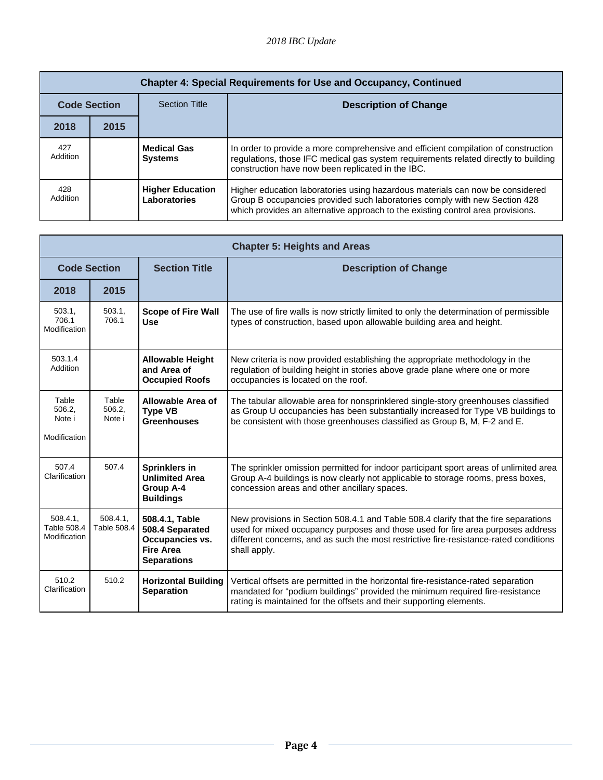|                     | <b>Chapter 4: Special Requirements for Use and Occupancy, Continued</b> |                                         |                                                                                                                                                                                                                                                |  |
|---------------------|-------------------------------------------------------------------------|-----------------------------------------|------------------------------------------------------------------------------------------------------------------------------------------------------------------------------------------------------------------------------------------------|--|
| <b>Code Section</b> |                                                                         | <b>Section Title</b>                    | <b>Description of Change</b>                                                                                                                                                                                                                   |  |
| 2018                | 2015                                                                    |                                         |                                                                                                                                                                                                                                                |  |
| 427<br>Addition     |                                                                         | <b>Medical Gas</b><br><b>Systems</b>    | In order to provide a more comprehensive and efficient compilation of construction<br>regulations, those IFC medical gas system requirements related directly to building<br>construction have now been replicated in the IBC.                 |  |
| 428<br>Addition     |                                                                         | <b>Higher Education</b><br>Laboratories | Higher education laboratories using hazardous materials can now be considered<br>Group B occupancies provided such laboratories comply with new Section 428<br>which provides an alternative approach to the existing control area provisions. |  |

|                                           | <b>Chapter 5: Heights and Areas</b> |                                                                                                       |                                                                                                                                                                                                                                                                                 |  |
|-------------------------------------------|-------------------------------------|-------------------------------------------------------------------------------------------------------|---------------------------------------------------------------------------------------------------------------------------------------------------------------------------------------------------------------------------------------------------------------------------------|--|
| <b>Code Section</b>                       |                                     | <b>Section Title</b>                                                                                  | <b>Description of Change</b>                                                                                                                                                                                                                                                    |  |
| 2018                                      | 2015                                |                                                                                                       |                                                                                                                                                                                                                                                                                 |  |
| 503.1,<br>706.1<br>Modification           | 503.1.<br>706.1                     | <b>Scope of Fire Wall</b><br><b>Use</b>                                                               | The use of fire walls is now strictly limited to only the determination of permissible<br>types of construction, based upon allowable building area and height.                                                                                                                 |  |
| 503.1.4<br>Addition                       |                                     | <b>Allowable Height</b><br>and Area of<br><b>Occupied Roofs</b>                                       | New criteria is now provided establishing the appropriate methodology in the<br>regulation of building height in stories above grade plane where one or more<br>occupancies is located on the roof.                                                                             |  |
| Table<br>506.2.<br>Note i<br>Modification | Table<br>506.2.<br>Note i           | Allowable Area of<br><b>Type VB</b><br><b>Greenhouses</b>                                             | The tabular allowable area for nonsprinklered single-story greenhouses classified<br>as Group U occupancies has been substantially increased for Type VB buildings to<br>be consistent with those greenhouses classified as Group B, M, F-2 and E.                              |  |
| 507.4<br>Clarification                    | 507.4                               | Sprinklers in<br><b>Unlimited Area</b><br>Group A-4<br><b>Buildings</b>                               | The sprinkler omission permitted for indoor participant sport areas of unlimited area<br>Group A-4 buildings is now clearly not applicable to storage rooms, press boxes,<br>concession areas and other ancillary spaces.                                                       |  |
| 508.4.1,<br>Table 508.4<br>Modification   | 508.4.1<br>Table 508.4              | 508.4.1, Table<br>508.4 Separated<br><b>Occupancies vs.</b><br><b>Fire Area</b><br><b>Separations</b> | New provisions in Section 508.4.1 and Table 508.4 clarify that the fire separations<br>used for mixed occupancy purposes and those used for fire area purposes address<br>different concerns, and as such the most restrictive fire-resistance-rated conditions<br>shall apply. |  |
| 510.2<br>Clarification                    | 510.2                               | <b>Horizontal Building</b><br><b>Separation</b>                                                       | Vertical offsets are permitted in the horizontal fire-resistance-rated separation<br>mandated for "podium buildings" provided the minimum required fire-resistance<br>rating is maintained for the offsets and their supporting elements.                                       |  |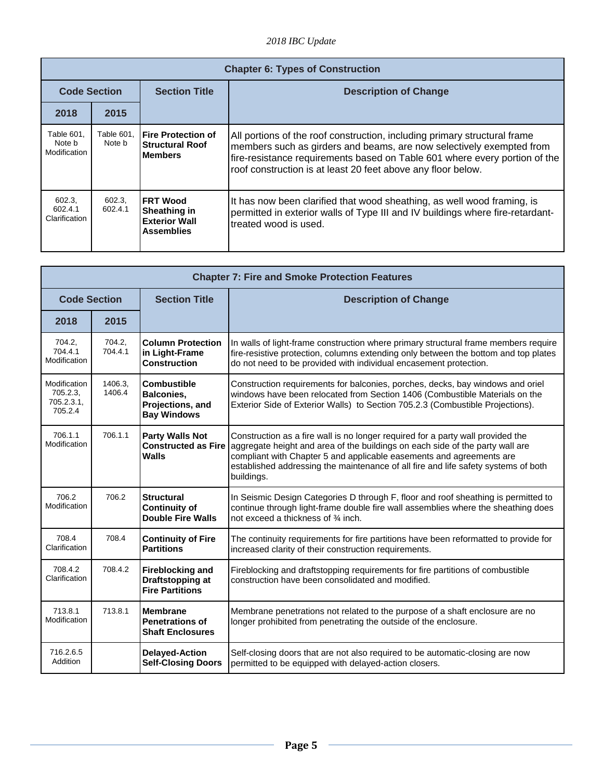|                                      | <b>Chapter 6: Types of Construction</b> |                                                                               |                                                                                                                                                                                                                                                                                                 |  |
|--------------------------------------|-----------------------------------------|-------------------------------------------------------------------------------|-------------------------------------------------------------------------------------------------------------------------------------------------------------------------------------------------------------------------------------------------------------------------------------------------|--|
| <b>Code Section</b>                  |                                         | <b>Section Title</b>                                                          | <b>Description of Change</b>                                                                                                                                                                                                                                                                    |  |
| 2018                                 | 2015                                    |                                                                               |                                                                                                                                                                                                                                                                                                 |  |
| Table 601,<br>Note b<br>Modification | Table 601,<br>Note b                    | <b>IFire Protection of</b><br><b>Structural Roof</b><br><b>Members</b>        | All portions of the roof construction, including primary structural frame<br>members such as girders and beams, are now selectively exempted from<br>fire-resistance requirements based on Table 601 where every portion of the<br>roof construction is at least 20 feet above any floor below. |  |
| 602.3,<br>602.4.1<br>Clarification   | 602.3,<br>602.4.1                       | <b>IFRT Wood</b><br>Sheathing in<br><b>Exterior Wall</b><br><b>Assemblies</b> | It has now been clarified that wood sheathing, as well wood framing, is<br>permitted in exterior walls of Type III and IV buildings where fire-retardant-<br>treated wood is used.                                                                                                              |  |

| <b>Chapter 7: Fire and Smoke Protection Features</b> |                   |                                                                                   |                                                                                                                                                                                                                                                                                                                                              |
|------------------------------------------------------|-------------------|-----------------------------------------------------------------------------------|----------------------------------------------------------------------------------------------------------------------------------------------------------------------------------------------------------------------------------------------------------------------------------------------------------------------------------------------|
| <b>Code Section</b>                                  |                   | <b>Section Title</b>                                                              | <b>Description of Change</b>                                                                                                                                                                                                                                                                                                                 |
| 2018                                                 | 2015              |                                                                                   |                                                                                                                                                                                                                                                                                                                                              |
| 704.2,<br>704.4.1<br>Modification                    | 704.2.<br>704.4.1 | <b>Column Protection</b><br>in Light-Frame<br><b>Construction</b>                 | In walls of light-frame construction where primary structural frame members require<br>fire-resistive protection, columns extending only between the bottom and top plates<br>do not need to be provided with individual encasement protection.                                                                                              |
| Modification<br>705.2.3.<br>705.2.3.1,<br>705.2.4    | 1406.3.<br>1406.4 | <b>Combustible</b><br><b>Balconies.</b><br>Projections, and<br><b>Bay Windows</b> | Construction requirements for balconies, porches, decks, bay windows and oriel<br>windows have been relocated from Section 1406 (Combustible Materials on the<br>Exterior Side of Exterior Walls) to Section 705.2.3 (Combustible Projections).                                                                                              |
| 706.1.1<br>Modification                              | 706.1.1           | <b>Party Walls Not</b><br><b>Constructed as Fire</b><br>Walls                     | Construction as a fire wall is no longer required for a party wall provided the<br>aggregate height and area of the buildings on each side of the party wall are<br>compliant with Chapter 5 and applicable easements and agreements are<br>established addressing the maintenance of all fire and life safety systems of both<br>buildings. |
| 706.2<br>Modification                                | 706.2             | <b>Structural</b><br><b>Continuity of</b><br><b>Double Fire Walls</b>             | In Seismic Design Categories D through F, floor and roof sheathing is permitted to<br>continue through light-frame double fire wall assemblies where the sheathing does<br>not exceed a thickness of 3/4 inch.                                                                                                                               |
| 708.4<br>Clarification                               | 708.4             | <b>Continuity of Fire</b><br><b>Partitions</b>                                    | The continuity requirements for fire partitions have been reformatted to provide for<br>increased clarity of their construction requirements.                                                                                                                                                                                                |
| 708.4.2<br>Clarification                             | 708.4.2           | <b>Fireblocking and</b><br>Draftstopping at<br><b>Fire Partitions</b>             | Fireblocking and draftstopping requirements for fire partitions of combustible<br>construction have been consolidated and modified.                                                                                                                                                                                                          |
| 713.8.1<br>Modification                              | 713.8.1           | <b>Membrane</b><br><b>Penetrations of</b><br><b>Shaft Enclosures</b>              | Membrane penetrations not related to the purpose of a shaft enclosure are no<br>longer prohibited from penetrating the outside of the enclosure.                                                                                                                                                                                             |
| 716.2.6.5<br>Addition                                |                   | <b>Delayed-Action</b><br><b>Self-Closing Doors</b>                                | Self-closing doors that are not also required to be automatic-closing are now<br>permitted to be equipped with delayed-action closers.                                                                                                                                                                                                       |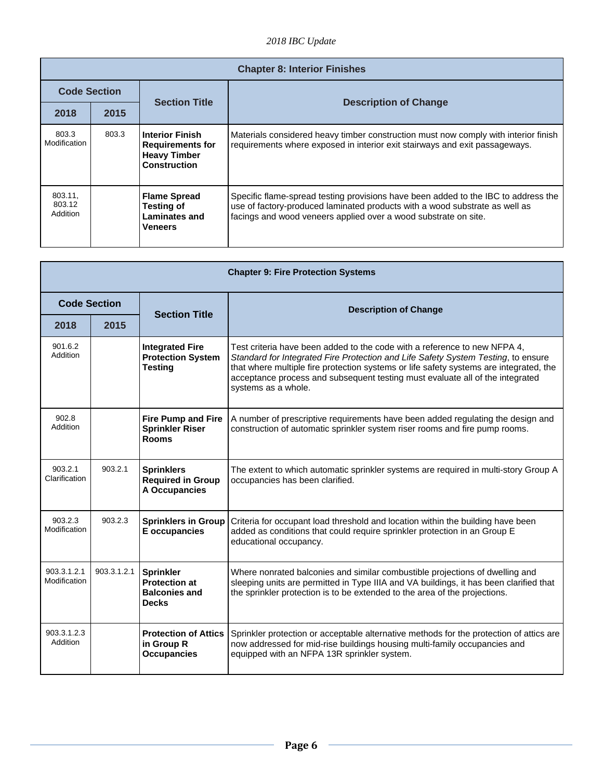|                               | <b>Chapter 8: Interior Finishes</b> |                                                                                          |                                                                                                                                                                                                                                      |  |
|-------------------------------|-------------------------------------|------------------------------------------------------------------------------------------|--------------------------------------------------------------------------------------------------------------------------------------------------------------------------------------------------------------------------------------|--|
| <b>Code Section</b>           |                                     |                                                                                          |                                                                                                                                                                                                                                      |  |
| 2018                          | 2015                                | <b>Section Title</b>                                                                     | <b>Description of Change</b>                                                                                                                                                                                                         |  |
| 803.3<br>Modification         | 803.3                               | <b>Interior Finish</b><br><b>Requirements for</b><br><b>Heavy Timber</b><br>Construction | Materials considered heavy timber construction must now comply with interior finish<br>requirements where exposed in interior exit stairways and exit passageways.                                                                   |  |
| 803.11,<br>803.12<br>Addition |                                     | <b>Flame Spread</b><br><b>Testing of</b><br>Laminates and<br><b>Veneers</b>              | Specific flame-spread testing provisions have been added to the IBC to address the<br>use of factory-produced laminated products with a wood substrate as well as<br>facings and wood veneers applied over a wood substrate on site. |  |

| <b>Chapter 9: Fire Protection Systems</b> |             |                                                                                  |                                                                                                                                                                                                                                                                                                                                                                  |
|-------------------------------------------|-------------|----------------------------------------------------------------------------------|------------------------------------------------------------------------------------------------------------------------------------------------------------------------------------------------------------------------------------------------------------------------------------------------------------------------------------------------------------------|
| <b>Code Section</b>                       |             | <b>Section Title</b>                                                             | <b>Description of Change</b>                                                                                                                                                                                                                                                                                                                                     |
| 2018                                      | 2015        |                                                                                  |                                                                                                                                                                                                                                                                                                                                                                  |
| 901.6.2<br>Addition                       |             | <b>Integrated Fire</b><br><b>Protection System</b><br><b>Testing</b>             | Test criteria have been added to the code with a reference to new NFPA 4,<br>Standard for Integrated Fire Protection and Life Safety System Testing, to ensure<br>that where multiple fire protection systems or life safety systems are integrated, the<br>acceptance process and subsequent testing must evaluate all of the integrated<br>systems as a whole. |
| 902.8<br>Addition                         |             | <b>Fire Pump and Fire</b><br><b>Sprinkler Riser</b><br><b>Rooms</b>              | A number of prescriptive requirements have been added regulating the design and<br>construction of automatic sprinkler system riser rooms and fire pump rooms.                                                                                                                                                                                                   |
| 903.2.1<br>Clarification                  | 903.2.1     | <b>Sprinklers</b><br><b>Required in Group</b><br>A Occupancies                   | The extent to which automatic sprinkler systems are required in multi-story Group A<br>occupancies has been clarified.                                                                                                                                                                                                                                           |
| 903.2.3<br>Modification                   | 903.2.3     | <b>Sprinklers in Group</b><br>E occupancies                                      | Criteria for occupant load threshold and location within the building have been<br>added as conditions that could require sprinkler protection in an Group E<br>educational occupancy.                                                                                                                                                                           |
| 903.3.1.2.1<br>Modification               | 903.3.1.2.1 | <b>Sprinkler</b><br><b>Protection at</b><br><b>Balconies and</b><br><b>Decks</b> | Where nonrated balconies and similar combustible projections of dwelling and<br>sleeping units are permitted in Type IIIA and VA buildings, it has been clarified that<br>the sprinkler protection is to be extended to the area of the projections.                                                                                                             |
| 903.3.1.2.3<br>Addition                   |             | <b>Protection of Attics</b><br>in Group R<br><b>Occupancies</b>                  | Sprinkler protection or acceptable alternative methods for the protection of attics are<br>now addressed for mid-rise buildings housing multi-family occupancies and<br>equipped with an NFPA 13R sprinkler system.                                                                                                                                              |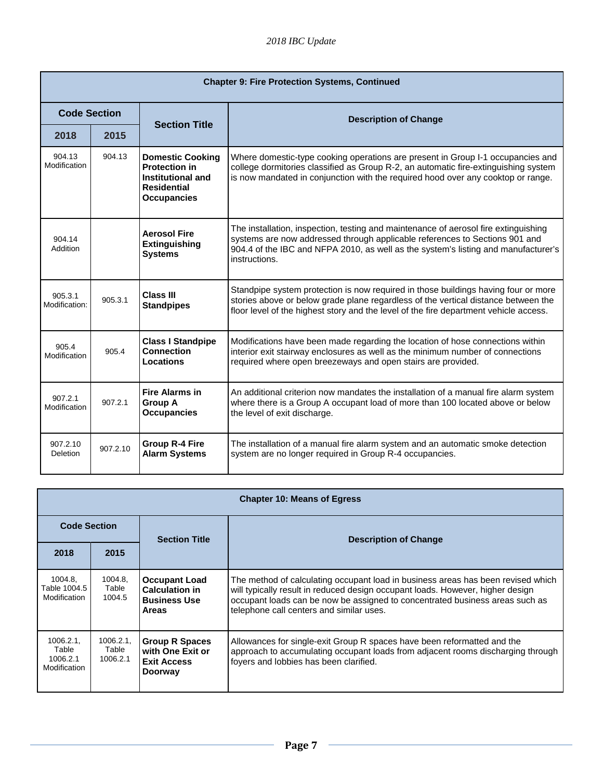| <b>Chapter 9: Fire Protection Systems, Continued</b> |          |                                                                                                                  |                                                                                                                                                                                                                                                                           |
|------------------------------------------------------|----------|------------------------------------------------------------------------------------------------------------------|---------------------------------------------------------------------------------------------------------------------------------------------------------------------------------------------------------------------------------------------------------------------------|
| <b>Code Section</b>                                  |          | <b>Section Title</b>                                                                                             | <b>Description of Change</b>                                                                                                                                                                                                                                              |
| 2018                                                 | 2015     |                                                                                                                  |                                                                                                                                                                                                                                                                           |
| 904.13<br>Modification                               | 904.13   | <b>Domestic Cooking</b><br><b>Protection in</b><br>Institutional and<br><b>Residential</b><br><b>Occupancies</b> | Where domestic-type cooking operations are present in Group I-1 occupancies and<br>college dormitories classified as Group R-2, an automatic fire-extinguishing system<br>is now mandated in conjunction with the required hood over any cooktop or range.                |
| 904.14<br>Addition                                   |          | <b>Aerosol Fire</b><br><b>Extinguishing</b><br><b>Systems</b>                                                    | The installation, inspection, testing and maintenance of aerosol fire extinguishing<br>systems are now addressed through applicable references to Sections 901 and<br>904.4 of the IBC and NFPA 2010, as well as the system's listing and manufacturer's<br>instructions. |
| 905.3.1<br>Modification:                             | 905.3.1  | <b>Class III</b><br><b>Standpipes</b>                                                                            | Standpipe system protection is now required in those buildings having four or more<br>stories above or below grade plane regardless of the vertical distance between the<br>floor level of the highest story and the level of the fire department vehicle access.         |
| 905.4<br>Modification                                | 905.4    | <b>Class I Standpipe</b><br>Connection<br>Locations                                                              | Modifications have been made regarding the location of hose connections within<br>interior exit stairway enclosures as well as the minimum number of connections<br>required where open breezeways and open stairs are provided.                                          |
| 907.2.1<br>Modification                              | 907.2.1  | <b>Fire Alarms in</b><br><b>Group A</b><br><b>Occupancies</b>                                                    | An additional criterion now mandates the installation of a manual fire alarm system<br>where there is a Group A occupant load of more than 100 located above or below<br>the level of exit discharge.                                                                     |
| 907.2.10<br><b>Deletion</b>                          | 907.2.10 | <b>Group R-4 Fire</b><br><b>Alarm Systems</b>                                                                    | The installation of a manual fire alarm system and an automatic smoke detection<br>system are no longer required in Group R-4 occupancies.                                                                                                                                |

| <b>Chapter 10: Means of Egress</b>            |                               |                                                                                      |                                                                                                                                                                                                                                                                                                |  |
|-----------------------------------------------|-------------------------------|--------------------------------------------------------------------------------------|------------------------------------------------------------------------------------------------------------------------------------------------------------------------------------------------------------------------------------------------------------------------------------------------|--|
| <b>Code Section</b>                           |                               | <b>Section Title</b>                                                                 | <b>Description of Change</b>                                                                                                                                                                                                                                                                   |  |
| 2018                                          | 2015                          |                                                                                      |                                                                                                                                                                                                                                                                                                |  |
| 1004.8.<br>Table 1004.5<br>Modification       | 1004.8.<br>Table<br>1004.5    | <b>Occupant Load</b><br><b>Calculation in</b><br><b>Business Use</b><br><b>Areas</b> | The method of calculating occupant load in business areas has been revised which<br>will typically result in reduced design occupant loads. However, higher design<br>occupant loads can be now be assigned to concentrated business areas such as<br>telephone call centers and similar uses. |  |
| 1006.2.1<br>Table<br>1006.2.1<br>Modification | 1006.2.1<br>Table<br>1006.2.1 | <b>Group R Spaces</b><br>with One Exit or<br><b>Exit Access</b><br><b>Doorway</b>    | Allowances for single-exit Group R spaces have been reformatted and the<br>approach to accumulating occupant loads from adjacent rooms discharging through<br>foyers and lobbies has been clarified.                                                                                           |  |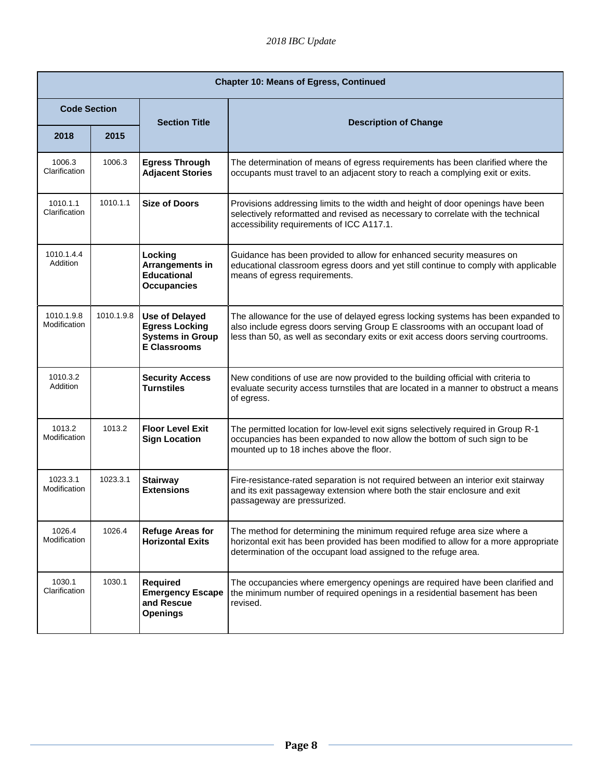| <b>Chapter 10: Means of Egress, Continued</b> |            |                                                                                                  |                                                                                                                                                                                                                                                        |
|-----------------------------------------------|------------|--------------------------------------------------------------------------------------------------|--------------------------------------------------------------------------------------------------------------------------------------------------------------------------------------------------------------------------------------------------------|
| <b>Code Section</b>                           |            | <b>Section Title</b>                                                                             | <b>Description of Change</b>                                                                                                                                                                                                                           |
| 2018                                          | 2015       |                                                                                                  |                                                                                                                                                                                                                                                        |
| 1006.3<br>Clarification                       | 1006.3     | <b>Egress Through</b><br><b>Adjacent Stories</b>                                                 | The determination of means of egress requirements has been clarified where the<br>occupants must travel to an adjacent story to reach a complying exit or exits.                                                                                       |
| 1010.1.1<br>Clarification                     | 1010.1.1   | <b>Size of Doors</b>                                                                             | Provisions addressing limits to the width and height of door openings have been<br>selectively reformatted and revised as necessary to correlate with the technical<br>accessibility requirements of ICC A117.1.                                       |
| 1010.1.4.4<br>Addition                        |            | Locking<br>Arrangements in<br><b>Educational</b><br><b>Occupancies</b>                           | Guidance has been provided to allow for enhanced security measures on<br>educational classroom egress doors and yet still continue to comply with applicable<br>means of egress requirements.                                                          |
| 1010.1.9.8<br>Modification                    | 1010.1.9.8 | <b>Use of Delayed</b><br><b>Egress Locking</b><br><b>Systems in Group</b><br><b>E Classrooms</b> | The allowance for the use of delayed egress locking systems has been expanded to<br>also include egress doors serving Group E classrooms with an occupant load of<br>less than 50, as well as secondary exits or exit access doors serving courtrooms. |
| 1010.3.2<br>Addition                          |            | <b>Security Access</b><br><b>Turnstiles</b>                                                      | New conditions of use are now provided to the building official with criteria to<br>evaluate security access turnstiles that are located in a manner to obstruct a means<br>of egress.                                                                 |
| 1013.2<br>Modification                        | 1013.2     | <b>Floor Level Exit</b><br><b>Sign Location</b>                                                  | The permitted location for low-level exit signs selectively required in Group R-1<br>occupancies has been expanded to now allow the bottom of such sign to be<br>mounted up to 18 inches above the floor.                                              |
| 1023.3.1<br>Modification                      | 1023.3.1   | <b>Stairway</b><br><b>Extensions</b>                                                             | Fire-resistance-rated separation is not required between an interior exit stairway<br>and its exit passageway extension where both the stair enclosure and exit<br>passageway are pressurized.                                                         |
| 1026.4<br>Modification                        | 1026.4     | <b>Refuge Areas for</b><br><b>Horizontal Exits</b>                                               | The method for determining the minimum required refuge area size where a<br>horizontal exit has been provided has been modified to allow for a more appropriate<br>determination of the occupant load assigned to the refuge area.                     |
| 1030.1<br>Clarification                       | 1030.1     | Required<br><b>Emergency Escape</b><br>and Rescue<br><b>Openings</b>                             | The occupancies where emergency openings are required have been clarified and<br>the minimum number of required openings in a residential basement has been<br>revised.                                                                                |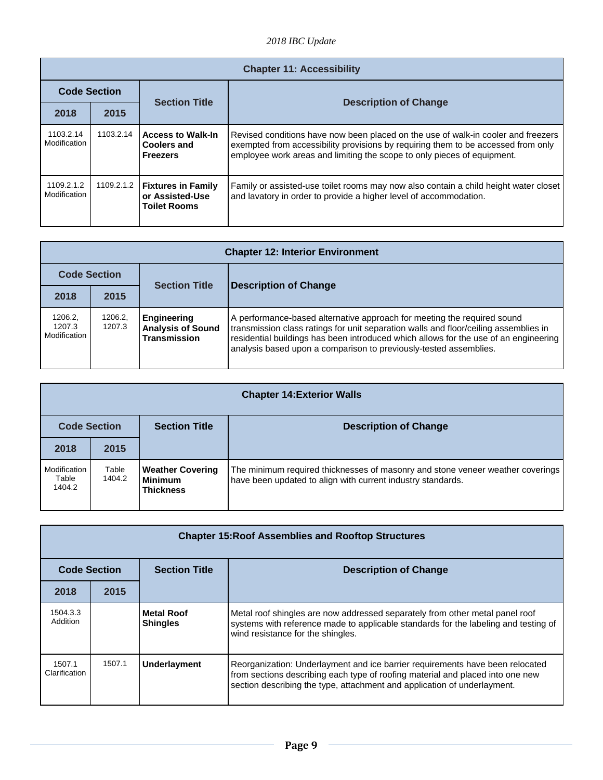|                            | <b>Chapter 11: Accessibility</b> |                                                                     |                                                                                                                                                                                                                                                   |  |
|----------------------------|----------------------------------|---------------------------------------------------------------------|---------------------------------------------------------------------------------------------------------------------------------------------------------------------------------------------------------------------------------------------------|--|
| <b>Code Section</b>        |                                  |                                                                     |                                                                                                                                                                                                                                                   |  |
| 2018                       | 2015                             | <b>Section Title</b>                                                | <b>Description of Change</b>                                                                                                                                                                                                                      |  |
| 1103.2.14<br>Modification  | 1103.2.14                        | <b>Access to Walk-In</b><br><b>Coolers and</b><br><b>Freezers</b>   | Revised conditions have now been placed on the use of walk-in cooler and freezers<br>exempted from accessibility provisions by requiring them to be accessed from only<br>employee work areas and limiting the scope to only pieces of equipment. |  |
| 1109.2.1.2<br>Modification | 1109.2.1.2                       | <b>Fixtures in Family</b><br>or Assisted-Use<br><b>Toilet Rooms</b> | Family or assisted-use toilet rooms may now also contain a child height water closet<br>and lavatory in order to provide a higher level of accommodation.                                                                                         |  |

|                                   | <b>Chapter 12: Interior Environment</b> |                                                                       |                                                                                                                                                                                                                                                                                                                              |  |
|-----------------------------------|-----------------------------------------|-----------------------------------------------------------------------|------------------------------------------------------------------------------------------------------------------------------------------------------------------------------------------------------------------------------------------------------------------------------------------------------------------------------|--|
| <b>Code Section</b>               |                                         |                                                                       |                                                                                                                                                                                                                                                                                                                              |  |
| 2018                              | 2015                                    | <b>Section Title</b>                                                  | <b>Description of Change</b>                                                                                                                                                                                                                                                                                                 |  |
| 1206.2.<br>1207.3<br>Modification | 1206.2.<br>1207.3                       | <b>Engineering</b><br><b>Analysis of Sound</b><br><b>Transmission</b> | A performance-based alternative approach for meeting the required sound<br>transmission class ratings for unit separation walls and floor/ceiling assemblies in<br>residential buildings has been introduced which allows for the use of an engineering<br>analysis based upon a comparison to previously-tested assemblies. |  |

| <b>Chapter 14: Exterior Walls</b> |                 |                                                               |                                                                                                                                               |
|-----------------------------------|-----------------|---------------------------------------------------------------|-----------------------------------------------------------------------------------------------------------------------------------------------|
| <b>Code Section</b>               |                 | <b>Section Title</b>                                          | <b>Description of Change</b>                                                                                                                  |
| 2018                              | 2015            |                                                               |                                                                                                                                               |
| Modification<br>Table<br>1404.2   | Table<br>1404.2 | <b>Weather Covering</b><br><b>Minimum</b><br><b>Thickness</b> | The minimum required thicknesses of masonry and stone veneer weather coverings<br>have been updated to align with current industry standards. |

| <b>Chapter 15: Roof Assemblies and Rooftop Structures</b> |        |                                      |                                                                                                                                                                                                                                             |
|-----------------------------------------------------------|--------|--------------------------------------|---------------------------------------------------------------------------------------------------------------------------------------------------------------------------------------------------------------------------------------------|
| <b>Code Section</b>                                       |        | <b>Section Title</b>                 | <b>Description of Change</b>                                                                                                                                                                                                                |
| 2018                                                      | 2015   |                                      |                                                                                                                                                                                                                                             |
| 1504.3.3<br>Addition                                      |        | <b>Metal Roof</b><br><b>Shingles</b> | Metal roof shingles are now addressed separately from other metal panel roof<br>systems with reference made to applicable standards for the labeling and testing of<br>wind resistance for the shingles.                                    |
| 1507.1<br>Clarification                                   | 1507.1 | Underlayment                         | Reorganization: Underlayment and ice barrier requirements have been relocated<br>from sections describing each type of roofing material and placed into one new<br>section describing the type, attachment and application of underlayment. |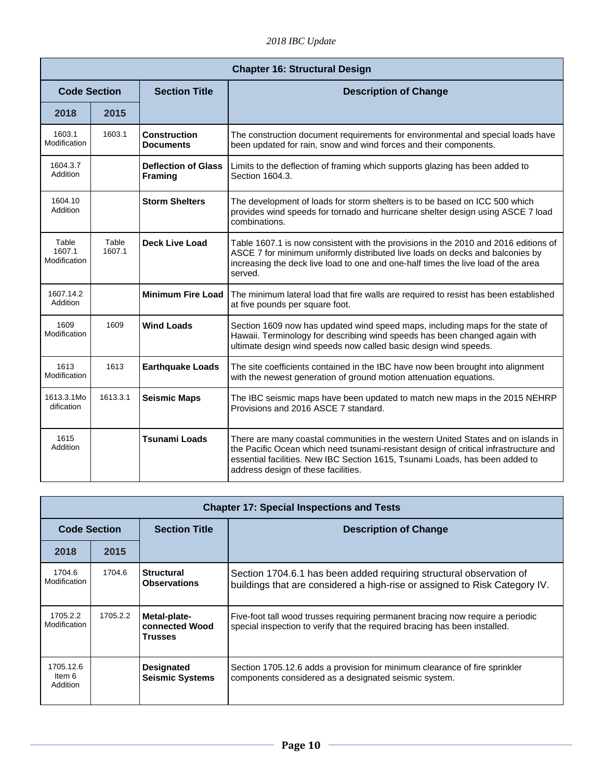*2018 IBC Update* 

| <b>Chapter 16: Structural Design</b> |                 |                                              |                                                                                                                                                                                                                                                                                                  |
|--------------------------------------|-----------------|----------------------------------------------|--------------------------------------------------------------------------------------------------------------------------------------------------------------------------------------------------------------------------------------------------------------------------------------------------|
| <b>Code Section</b>                  |                 | <b>Section Title</b>                         | <b>Description of Change</b>                                                                                                                                                                                                                                                                     |
| 2018                                 | 2015            |                                              |                                                                                                                                                                                                                                                                                                  |
| 1603.1<br>Modification               | 1603.1          | <b>Construction</b><br><b>Documents</b>      | The construction document requirements for environmental and special loads have<br>been updated for rain, snow and wind forces and their components.                                                                                                                                             |
| 1604.3.7<br>Addition                 |                 | <b>Deflection of Glass</b><br><b>Framing</b> | Limits to the deflection of framing which supports glazing has been added to<br>Section 1604.3.                                                                                                                                                                                                  |
| 1604.10<br>Addition                  |                 | <b>Storm Shelters</b>                        | The development of loads for storm shelters is to be based on ICC 500 which<br>provides wind speeds for tornado and hurricane shelter design using ASCE 7 load<br>combinations.                                                                                                                  |
| Table<br>1607.1<br>Modification      | Table<br>1607.1 | <b>Deck Live Load</b>                        | Table 1607.1 is now consistent with the provisions in the 2010 and 2016 editions of<br>ASCE 7 for minimum uniformly distributed live loads on decks and balconies by<br>increasing the deck live load to one and one-half times the live load of the area<br>served.                             |
| 1607.14.2<br>Addition                |                 | <b>Minimum Fire Load</b>                     | The minimum lateral load that fire walls are required to resist has been established<br>at five pounds per square foot.                                                                                                                                                                          |
| 1609<br>Modification                 | 1609            | <b>Wind Loads</b>                            | Section 1609 now has updated wind speed maps, including maps for the state of<br>Hawaii. Terminology for describing wind speeds has been changed again with<br>ultimate design wind speeds now called basic design wind speeds.                                                                  |
| 1613<br>Modification                 | 1613            | <b>Earthquake Loads</b>                      | The site coefficients contained in the IBC have now been brought into alignment<br>with the newest generation of ground motion attenuation equations.                                                                                                                                            |
| 1613.3.1Mo<br>dification             | 1613.3.1        | <b>Seismic Maps</b>                          | The IBC seismic maps have been updated to match new maps in the 2015 NEHRP<br>Provisions and 2016 ASCE 7 standard.                                                                                                                                                                               |
| 1615<br>Addition                     |                 | <b>Tsunami Loads</b>                         | There are many coastal communities in the western United States and on islands in<br>the Pacific Ocean which need tsunami-resistant design of critical infrastructure and<br>essential facilities. New IBC Section 1615, Tsunami Loads, has been added to<br>address design of these facilities. |

| <b>Chapter 17: Special Inspections and Tests</b> |          |                                                  |                                                                                                                                                              |
|--------------------------------------------------|----------|--------------------------------------------------|--------------------------------------------------------------------------------------------------------------------------------------------------------------|
| <b>Code Section</b>                              |          | <b>Section Title</b>                             | <b>Description of Change</b>                                                                                                                                 |
| 2018                                             | 2015     |                                                  |                                                                                                                                                              |
| 1704.6<br>Modification                           | 1704.6   | <b>Structural</b><br><b>Observations</b>         | Section 1704.6.1 has been added requiring structural observation of<br>buildings that are considered a high-rise or assigned to Risk Category IV.            |
| 1705.2.2<br>Modification                         | 1705.2.2 | Metal-plate-<br>connected Wood<br><b>Trusses</b> | Five-foot tall wood trusses requiring permanent bracing now require a periodic<br>special inspection to verify that the required bracing has been installed. |
| 1705.12.6<br>Item 6<br>Addition                  |          | <b>Designated</b><br><b>Seismic Systems</b>      | Section 1705.12.6 adds a provision for minimum clearance of fire sprinkler<br>components considered as a designated seismic system.                          |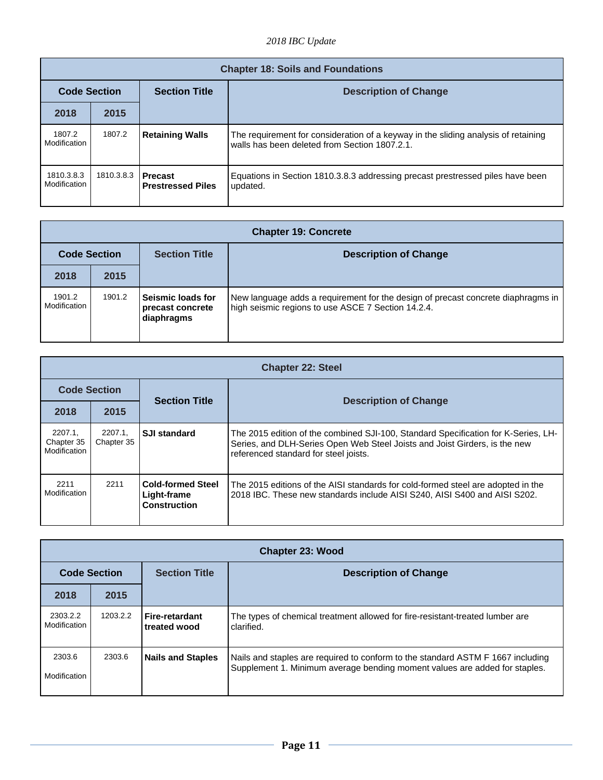|                            | <b>Chapter 18: Soils and Foundations</b> |                                       |                                                                                                                                     |  |
|----------------------------|------------------------------------------|---------------------------------------|-------------------------------------------------------------------------------------------------------------------------------------|--|
| <b>Code Section</b>        |                                          | <b>Section Title</b>                  | <b>Description of Change</b>                                                                                                        |  |
| 2018                       | 2015                                     |                                       |                                                                                                                                     |  |
| 1807.2<br>Modification     | 1807.2                                   | <b>Retaining Walls</b>                | The requirement for consideration of a keyway in the sliding analysis of retaining<br>walls has been deleted from Section 1807.2.1. |  |
| 1810.3.8.3<br>Modification | 1810.3.8.3                               | l Precast<br><b>Prestressed Piles</b> | Equations in Section 1810.3.8.3 addressing precast prestressed piles have been<br>updated.                                          |  |

|                        | <b>Chapter 19: Concrete</b> |                                                      |                                                                                                                                        |  |
|------------------------|-----------------------------|------------------------------------------------------|----------------------------------------------------------------------------------------------------------------------------------------|--|
| <b>Code Section</b>    |                             | <b>Section Title</b><br><b>Description of Change</b> |                                                                                                                                        |  |
| 2018                   | 2015                        |                                                      |                                                                                                                                        |  |
| 1901.2<br>Modification | 1901.2                      | Seismic loads for<br>precast concrete<br>diaphragms  | New language adds a requirement for the design of precast concrete diaphragms in<br>high seismic regions to use ASCE 7 Section 14.2.4. |  |

|                                       | <b>Chapter 22: Steel</b> |                                                                |                                                                                                                                                                                                           |  |
|---------------------------------------|--------------------------|----------------------------------------------------------------|-----------------------------------------------------------------------------------------------------------------------------------------------------------------------------------------------------------|--|
| <b>Code Section</b>                   |                          | <b>Section Title</b>                                           |                                                                                                                                                                                                           |  |
| 2018                                  | 2015                     |                                                                | <b>Description of Change</b>                                                                                                                                                                              |  |
| 2207.1.<br>Chapter 35<br>Modification | 2207.1.<br>Chapter 35    | <b>SJI standard</b>                                            | The 2015 edition of the combined SJI-100, Standard Specification for K-Series, LH-<br>Series, and DLH-Series Open Web Steel Joists and Joist Girders, is the new<br>referenced standard for steel joists. |  |
| 2211<br>Modification                  | 2211                     | <b>Cold-formed Steel</b><br>Light-frame<br><b>Construction</b> | The 2015 editions of the AISI standards for cold-formed steel are adopted in the<br>2018 IBC. These new standards include AISI S240, AISI S400 and AISI S202.                                             |  |

|                          | <b>Chapter 23: Wood</b> |                                       |                                                                                                                                                               |  |
|--------------------------|-------------------------|---------------------------------------|---------------------------------------------------------------------------------------------------------------------------------------------------------------|--|
| <b>Code Section</b>      |                         | <b>Section Title</b>                  | <b>Description of Change</b>                                                                                                                                  |  |
| 2018                     | 2015                    |                                       |                                                                                                                                                               |  |
| 2303.2.2<br>Modification | 1203.2.2                | <b>Fire-retardant</b><br>treated wood | The types of chemical treatment allowed for fire-resistant-treated lumber are<br>clarified.                                                                   |  |
| 2303.6<br>Modification   | 2303.6                  | <b>Nails and Staples</b>              | Nails and staples are required to conform to the standard ASTM F 1667 including<br>Supplement 1. Minimum average bending moment values are added for staples. |  |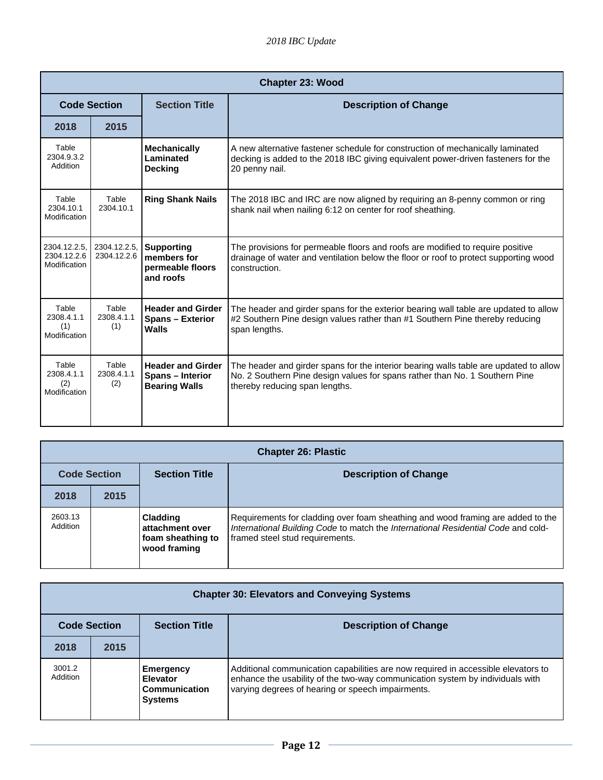|                                             | <b>Chapter 23: Wood</b>     |                                                                      |                                                                                                                                                                                                        |  |
|---------------------------------------------|-----------------------------|----------------------------------------------------------------------|--------------------------------------------------------------------------------------------------------------------------------------------------------------------------------------------------------|--|
|                                             | <b>Code Section</b>         | <b>Section Title</b>                                                 | <b>Description of Change</b>                                                                                                                                                                           |  |
| 2018                                        | 2015                        |                                                                      |                                                                                                                                                                                                        |  |
| Table<br>2304.9.3.2<br>Addition             |                             | <b>Mechanically</b><br>Laminated<br><b>Decking</b>                   | A new alternative fastener schedule for construction of mechanically laminated<br>decking is added to the 2018 IBC giving equivalent power-driven fasteners for the<br>20 penny nail.                  |  |
| Table<br>2304.10.1<br>Modification          | Table<br>2304.10.1          | <b>Ring Shank Nails</b>                                              | The 2018 IBC and IRC are now aligned by requiring an 8-penny common or ring<br>shank nail when nailing 6:12 on center for roof sheathing.                                                              |  |
| 2304.12.2.5,<br>2304.12.2.6<br>Modification | 2304.12.2.5,<br>2304.12.2.6 | <b>Supporting</b><br>members for<br>permeable floors<br>and roofs    | The provisions for permeable floors and roofs are modified to require positive<br>drainage of water and ventilation below the floor or roof to protect supporting wood<br>construction.                |  |
| Table<br>2308.4.1.1<br>(1)<br>Modification  | Table<br>2308.4.1.1<br>(1)  | <b>Header and Girder</b><br><b>Spans - Exterior</b><br>Walls         | The header and girder spans for the exterior bearing wall table are updated to allow<br>#2 Southern Pine design values rather than #1 Southern Pine thereby reducing<br>span lengths.                  |  |
| Table<br>2308.4.1.1<br>(2)<br>Modification  | Table<br>2308.4.1.1<br>(2)  | <b>Header and Girder</b><br>Spans - Interior<br><b>Bearing Walls</b> | The header and girder spans for the interior bearing walls table are updated to allow<br>No. 2 Southern Pine design values for spans rather than No. 1 Southern Pine<br>thereby reducing span lengths. |  |

| <b>Chapter 26: Plastic</b> |      |                                                                         |                                                                                                                                                                                                         |
|----------------------------|------|-------------------------------------------------------------------------|---------------------------------------------------------------------------------------------------------------------------------------------------------------------------------------------------------|
| <b>Code Section</b>        |      | <b>Section Title</b>                                                    | <b>Description of Change</b>                                                                                                                                                                            |
| 2018                       | 2015 |                                                                         |                                                                                                                                                                                                         |
| 2603.13<br>Addition        |      | <b>Cladding</b><br>attachment over<br>foam sheathing to<br>wood framing | Requirements for cladding over foam sheathing and wood framing are added to the<br>International Building Code to match the International Residential Code and cold-<br>framed steel stud requirements. |

| <b>Chapter 30: Elevators and Conveying Systems</b> |      |                                                          |                                                                                                                                                                                                                         |  |
|----------------------------------------------------|------|----------------------------------------------------------|-------------------------------------------------------------------------------------------------------------------------------------------------------------------------------------------------------------------------|--|
| <b>Code Section</b>                                |      | <b>Section Title</b><br><b>Description of Change</b>     |                                                                                                                                                                                                                         |  |
| 2018                                               | 2015 |                                                          |                                                                                                                                                                                                                         |  |
| 3001.2<br>Addition                                 |      | Emergency<br>Elevator<br>Communication<br><b>Systems</b> | Additional communication capabilities are now required in accessible elevators to<br>enhance the usability of the two-way communication system by individuals with<br>varying degrees of hearing or speech impairments. |  |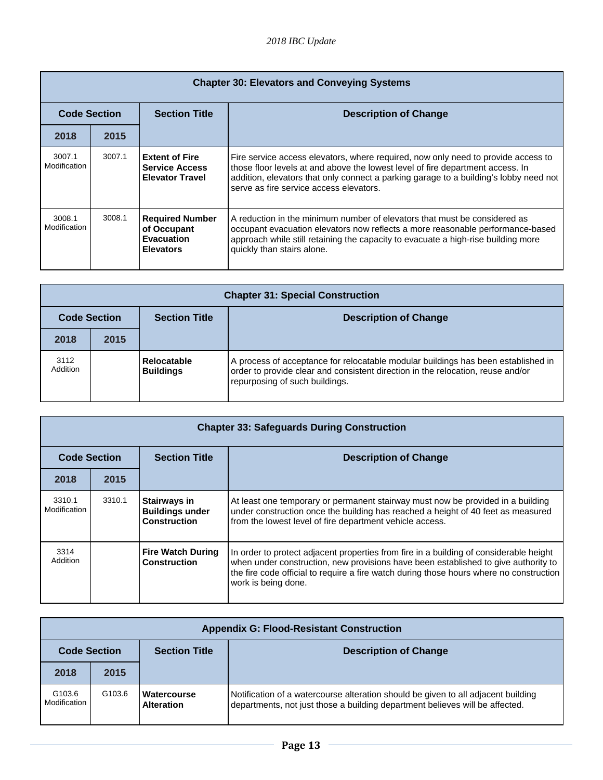| <b>Chapter 30: Elevators and Conveying Systems</b> |        |                                                                          |                                                                                                                                                                                                                                                                                                         |
|----------------------------------------------------|--------|--------------------------------------------------------------------------|---------------------------------------------------------------------------------------------------------------------------------------------------------------------------------------------------------------------------------------------------------------------------------------------------------|
| <b>Code Section</b>                                |        | <b>Section Title</b>                                                     | <b>Description of Change</b>                                                                                                                                                                                                                                                                            |
| 2018                                               | 2015   |                                                                          |                                                                                                                                                                                                                                                                                                         |
| 3007.1<br>Modification                             | 3007.1 | <b>Extent of Fire</b><br><b>Service Access</b><br><b>Elevator Travel</b> | Fire service access elevators, where required, now only need to provide access to<br>those floor levels at and above the lowest level of fire department access. In<br>addition, elevators that only connect a parking garage to a building's lobby need not<br>serve as fire service access elevators. |
| 3008.1<br>Modification                             | 3008.1 | <b>Required Number</b><br>of Occupant<br>Evacuation<br><b>Elevators</b>  | A reduction in the minimum number of elevators that must be considered as<br>occupant evacuation elevators now reflects a more reasonable performance-based<br>approach while still retaining the capacity to evacuate a high-rise building more<br>quickly than stairs alone.                          |

| <b>Chapter 31: Special Construction</b> |      |                                        |                                                                                                                                                                                                        |
|-----------------------------------------|------|----------------------------------------|--------------------------------------------------------------------------------------------------------------------------------------------------------------------------------------------------------|
| <b>Code Section</b>                     |      | <b>Section Title</b>                   | <b>Description of Change</b>                                                                                                                                                                           |
| 2018                                    | 2015 |                                        |                                                                                                                                                                                                        |
| 3112<br>Addition                        |      | <b>Relocatable</b><br><b>Buildings</b> | A process of acceptance for relocatable modular buildings has been established in<br>order to provide clear and consistent direction in the relocation, reuse and/or<br>repurposing of such buildings. |

| <b>Chapter 33: Safeguards During Construction</b> |        |                                                               |                                                                                                                                                                                                                                                                                                |
|---------------------------------------------------|--------|---------------------------------------------------------------|------------------------------------------------------------------------------------------------------------------------------------------------------------------------------------------------------------------------------------------------------------------------------------------------|
| <b>Code Section</b>                               |        | <b>Section Title</b>                                          | <b>Description of Change</b>                                                                                                                                                                                                                                                                   |
| 2018                                              | 2015   |                                                               |                                                                                                                                                                                                                                                                                                |
| 3310.1<br>Modification                            | 3310.1 | Stairways in<br><b>Buildings under</b><br><b>Construction</b> | At least one temporary or permanent stairway must now be provided in a building<br>under construction once the building has reached a height of 40 feet as measured<br>from the lowest level of fire department vehicle access.                                                                |
| 3314<br>Addition                                  |        | <b>Fire Watch During</b><br><b>Construction</b>               | In order to protect adjacent properties from fire in a building of considerable height<br>when under construction, new provisions have been established to give authority to<br>the fire code official to require a fire watch during those hours where no construction<br>work is being done. |

| <b>Appendix G: Flood-Resistant Construction</b> |                    |                                                      |                                                                                                                                                                   |  |
|-------------------------------------------------|--------------------|------------------------------------------------------|-------------------------------------------------------------------------------------------------------------------------------------------------------------------|--|
| <b>Code Section</b>                             |                    | <b>Section Title</b><br><b>Description of Change</b> |                                                                                                                                                                   |  |
| 2018                                            | 2015               |                                                      |                                                                                                                                                                   |  |
| G <sub>103.6</sub><br>Modification              | G <sub>103.6</sub> | Watercourse<br><b>Alteration</b>                     | Notification of a watercourse alteration should be given to all adjacent building<br>departments, not just those a building department believes will be affected. |  |